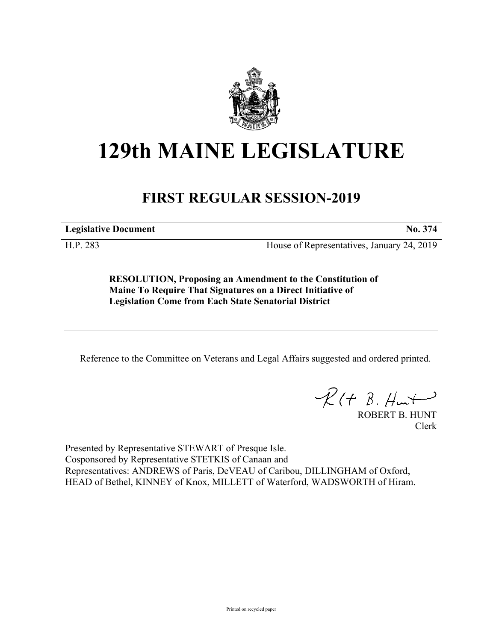

## **129th MAINE LEGISLATURE**

## **FIRST REGULAR SESSION-2019**

**Legislative Document No. 374**

H.P. 283 House of Representatives, January 24, 2019

**RESOLUTION, Proposing an Amendment to the Constitution of Maine To Require That Signatures on a Direct Initiative of Legislation Come from Each State Senatorial District**

Reference to the Committee on Veterans and Legal Affairs suggested and ordered printed.

 $\mathcal{R}(t \; \mathcal{B}, \mathcal{H}_{\mathsf{int}})$ 

ROBERT B. HUNT Clerk

Presented by Representative STEWART of Presque Isle. Cosponsored by Representative STETKIS of Canaan and Representatives: ANDREWS of Paris, DeVEAU of Caribou, DILLINGHAM of Oxford, HEAD of Bethel, KINNEY of Knox, MILLETT of Waterford, WADSWORTH of Hiram.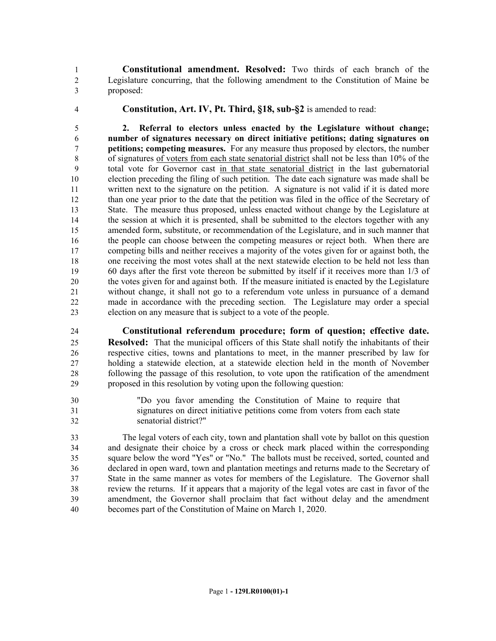**Constitutional amendment. Resolved:** Two thirds of each branch of the Legislature concurring, that the following amendment to the Constitution of Maine be proposed:

**Constitution, Art. IV, Pt. Third, §18, sub-§2** is amended to read:

 **2. Referral to electors unless enacted by the Legislature without change; number of signatures necessary on direct initiative petitions; dating signatures on petitions; competing measures.** For any measure thus proposed by electors, the number of signatures of voters from each state senatorial district shall not be less than 10% of the total vote for Governor cast in that state senatorial district in the last gubernatorial election preceding the filing of such petition. The date each signature was made shall be written next to the signature on the petition. A signature is not valid if it is dated more than one year prior to the date that the petition was filed in the office of the Secretary of State. The measure thus proposed, unless enacted without change by the Legislature at the session at which it is presented, shall be submitted to the electors together with any amended form, substitute, or recommendation of the Legislature, and in such manner that the people can choose between the competing measures or reject both. When there are competing bills and neither receives a majority of the votes given for or against both, the one receiving the most votes shall at the next statewide election to be held not less than 60 days after the first vote thereon be submitted by itself if it receives more than 1/3 of the votes given for and against both. If the measure initiated is enacted by the Legislature without change, it shall not go to a referendum vote unless in pursuance of a demand made in accordance with the preceding section. The Legislature may order a special election on any measure that is subject to a vote of the people.

 **Constitutional referendum procedure; form of question; effective date. Resolved:** That the municipal officers of this State shall notify the inhabitants of their respective cities, towns and plantations to meet, in the manner prescribed by law for holding a statewide election, at a statewide election held in the month of November following the passage of this resolution, to vote upon the ratification of the amendment proposed in this resolution by voting upon the following question:

 "Do you favor amending the Constitution of Maine to require that signatures on direct initiative petitions come from voters from each state senatorial district?"

 The legal voters of each city, town and plantation shall vote by ballot on this question and designate their choice by a cross or check mark placed within the corresponding square below the word "Yes" or "No." The ballots must be received, sorted, counted and declared in open ward, town and plantation meetings and returns made to the Secretary of State in the same manner as votes for members of the Legislature. The Governor shall review the returns. If it appears that a majority of the legal votes are cast in favor of the amendment, the Governor shall proclaim that fact without delay and the amendment becomes part of the Constitution of Maine on March 1, 2020.